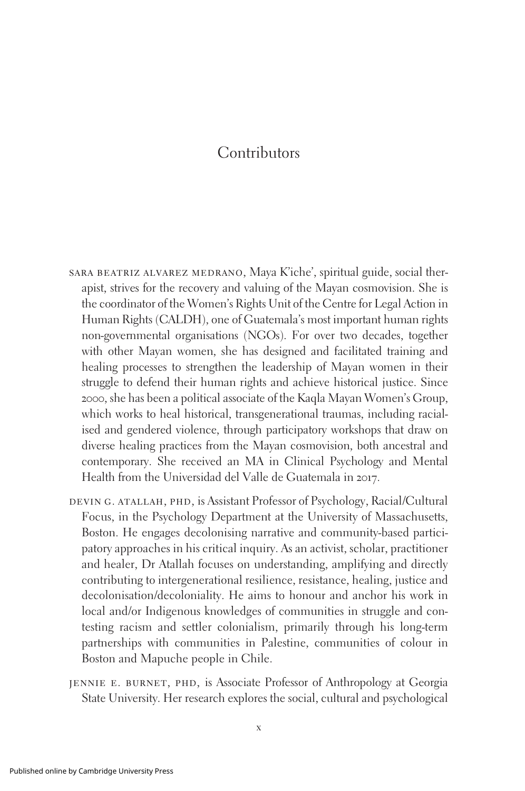## Contributors

- sara beatriz alvarez medrano, Maya K'iche', spiritual guide, social therapist, strives for the recovery and valuing of the Mayan cosmovision. She is the coordinator of the Women's Rights Unit of the Centre for Legal Action in Human Rights (CALDH), one of Guatemala's most important human rights non-governmental organisations (NGOs). For over two decades, together with other Mayan women, she has designed and facilitated training and healing processes to strengthen the leadership of Mayan women in their struggle to defend their human rights and achieve historical justice. Since 2000, she has been a political associate of the Kaqla Mayan Women's Group, which works to heal historical, transgenerational traumas, including racialised and gendered violence, through participatory workshops that draw on diverse healing practices from the Mayan cosmovision, both ancestral and contemporary. She received an MA in Clinical Psychology and Mental Health from the Universidad del Valle de Guatemala in 2017.
- DEVIN G. ATALLAH, PHD, is Assistant Professor of Psychology, Racial/Cultural Focus, in the Psychology Department at the University of Massachusetts, Boston. He engages decolonising narrative and community-based participatory approaches in his critical inquiry. As an activist, scholar, practitioner and healer, Dr Atallah focuses on understanding, amplifying and directly contributing to intergenerational resilience, resistance, healing, justice and decolonisation/decoloniality. He aims to honour and anchor his work in local and/or Indigenous knowledges of communities in struggle and contesting racism and settler colonialism, primarily through his long-term partnerships with communities in Palestine, communities of colour in Boston and Mapuche people in Chile.
- jennie e. burnet, phd, is Associate Professor of Anthropology at Georgia State University. Her research explores the social, cultural and psychological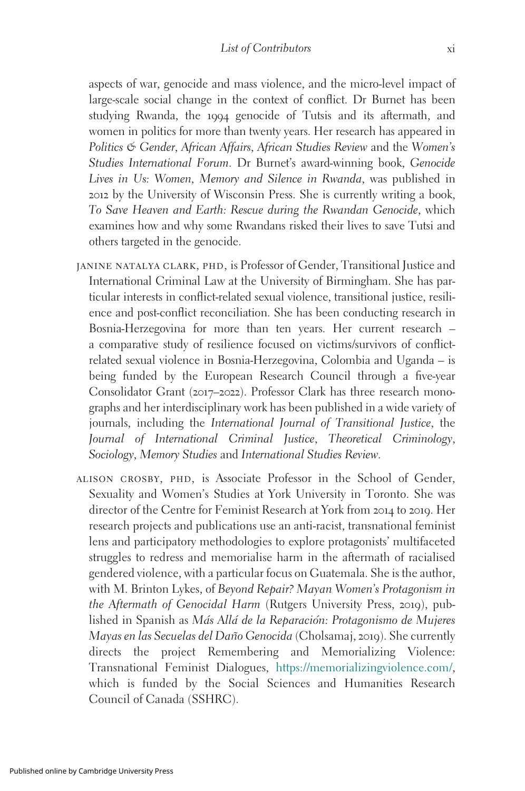aspects of war, genocide and mass violence, and the micro-level impact of large-scale social change in the context of conflict. Dr Burnet has been studying Rwanda, the 1994 genocide of Tutsis and its aftermath, and women in politics for more than twenty years. Her research has appeared in Politics & Gender, African Affairs, African Studies Review and the Women's Studies International Forum. Dr Burnet's award-winning book, Genocide Lives in Us: Women, Memory and Silence in Rwanda, was published in 2012 by the University of Wisconsin Press. She is currently writing a book, To Save Heaven and Earth: Rescue during the Rwandan Genocide, which examines how and why some Rwandans risked their lives to save Tutsi and others targeted in the genocide.

- JANINE NATALYA CLARK, PHD, is Professor of Gender, Transitional Justice and International Criminal Law at the University of Birmingham. She has particular interests in conflict-related sexual violence, transitional justice, resilience and post-conflict reconciliation. She has been conducting research in Bosnia-Herzegovina for more than ten years. Her current research – a comparative study of resilience focused on victims/survivors of conflictrelated sexual violence in Bosnia-Herzegovina, Colombia and Uganda – is being funded by the European Research Council through a five-year Consolidator Grant (2017–2022). Professor Clark has three research monographs and her interdisciplinary work has been published in a wide variety of journals, including the International Journal of Transitional Justice, the Journal of International Criminal Justice, Theoretical Criminology, Sociology, Memory Studies and International Studies Review.
- alison crosby, phd, is Associate Professor in the School of Gender, Sexuality and Women's Studies at York University in Toronto. She was director of the Centre for Feminist Research at York from 2014 to 2019. Her research projects and publications use an anti-racist, transnational feminist lens and participatory methodologies to explore protagonists' multifaceted struggles to redress and memorialise harm in the aftermath of racialised gendered violence, with a particular focus on Guatemala. She is the author, with M. Brinton Lykes, of Beyond Repair? Mayan Women's Protagonism in the Aftermath of Genocidal Harm (Rutgers University Press, 2019), published in Spanish as Más Allá de la Reparación: Protagonismo de Mujeres Mayas en las Secuelas del Dan˜o Genocida (Cholsamaj, 2019). She currently directs the project Remembering and Memorializing Violence: Transnational Feminist Dialogues, <https://memorializingviolence.com/>, which is funded by the Social Sciences and Humanities Research Council of Canada (SSHRC).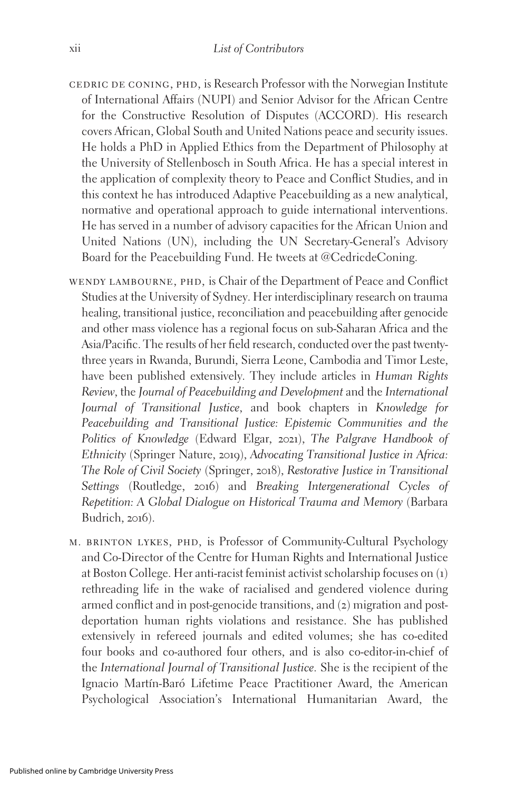- cedric de coning, phd, is Research Professor with the Norwegian Institute of International Affairs (NUPI) and Senior Advisor for the African Centre for the Constructive Resolution of Disputes (ACCORD). His research covers African, Global South and United Nations peace and security issues. He holds a PhD in Applied Ethics from the Department of Philosophy at the University of Stellenbosch in South Africa. He has a special interest in the application of complexity theory to Peace and Conflict Studies, and in this context he has introduced Adaptive Peacebuilding as a new analytical, normative and operational approach to guide international interventions. He has served in a number of advisory capacities for the African Union and United Nations (UN), including the UN Secretary-General's Advisory Board for the Peacebuilding Fund. He tweets at @CedricdeConing.
- WENDY LAMBOURNE, PHD, is Chair of the Department of Peace and Conflict Studies at the University of Sydney. Her interdisciplinary research on trauma healing, transitional justice, reconciliation and peacebuilding after genocide and other mass violence has a regional focus on sub-Saharan Africa and the Asia/Pacific. The results of her field research, conducted over the past twentythree years in Rwanda, Burundi, Sierra Leone, Cambodia and Timor Leste, have been published extensively. They include articles in Human Rights Review, the Journal of Peacebuilding and Development and the International Journal of Transitional Justice, and book chapters in Knowledge for Peacebuilding and Transitional Justice: Epistemic Communities and the Politics of Knowledge (Edward Elgar, 2021), The Palgrave Handbook of Ethnicity (Springer Nature, 2019), Advocating Transitional Justice in Africa: The Role of Civil Society (Springer, 2018), Restorative Justice in Transitional Settings (Routledge, 2016) and Breaking Intergenerational Cycles of Repetition: A Global Dialogue on Historical Trauma and Memory (Barbara Budrich, 2016).
- m. brinton lykes, phd, is Professor of Community-Cultural Psychology and Co-Director of the Centre for Human Rights and International Justice at Boston College. Her anti-racist feminist activist scholarship focuses on (1) rethreading life in the wake of racialised and gendered violence during armed conflict and in post-genocide transitions, and (2) migration and postdeportation human rights violations and resistance. She has published extensively in refereed journals and edited volumes; she has co-edited four books and co-authored four others, and is also co-editor-in-chief of the International Journal of Transitional Justice. She is the recipient of the Ignacio Martín-Baró Lifetime Peace Practitioner Award, the American Psychological Association's International Humanitarian Award, the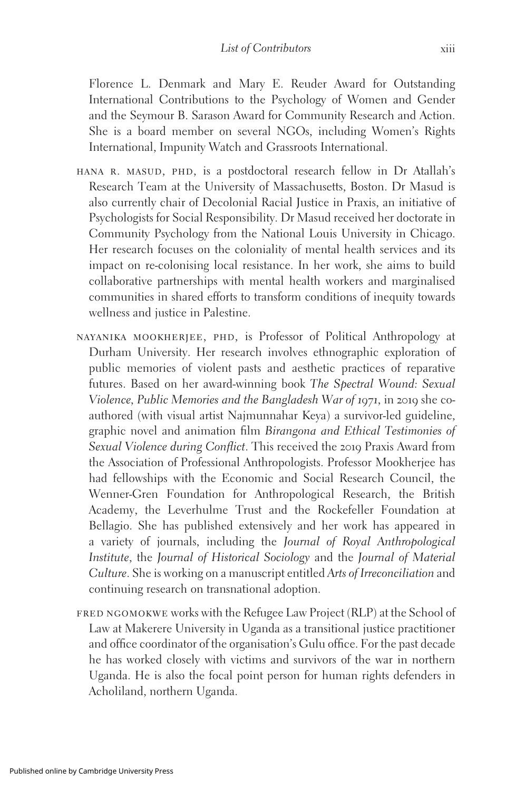Florence L. Denmark and Mary E. Reuder Award for Outstanding International Contributions to the Psychology of Women and Gender and the Seymour B. Sarason Award for Community Research and Action. She is a board member on several NGOs, including Women's Rights International, Impunity Watch and Grassroots International.

- HANA R. MASUD, PHD, is a postdoctoral research fellow in Dr Atallah's Research Team at the University of Massachusetts, Boston. Dr Masud is also currently chair of Decolonial Racial Justice in Praxis, an initiative of Psychologists for Social Responsibility. Dr Masud received her doctorate in Community Psychology from the National Louis University in Chicago. Her research focuses on the coloniality of mental health services and its impact on re-colonising local resistance. In her work, she aims to build collaborative partnerships with mental health workers and marginalised communities in shared efforts to transform conditions of inequity towards wellness and justice in Palestine.
- nayanika mookherjee, phd, is Professor of Political Anthropology at Durham University. Her research involves ethnographic exploration of public memories of violent pasts and aesthetic practices of reparative futures. Based on her award-winning book The Spectral Wound: Sexual Violence, Public Memories and the Bangladesh War of 1971, in 2019 she coauthored (with visual artist Najmunnahar Keya) a survivor-led guideline, graphic novel and animation film Birangona and Ethical Testimonies of Sexual Violence during Conflict. This received the 2019 Praxis Award from the Association of Professional Anthropologists. Professor Mookherjee has had fellowships with the Economic and Social Research Council, the Wenner-Gren Foundation for Anthropological Research, the British Academy, the Leverhulme Trust and the Rockefeller Foundation at Bellagio. She has published extensively and her work has appeared in a variety of journals, including the Journal of Royal Anthropological Institute, the Journal of Historical Sociology and the Journal of Material Culture. She is working on a manuscript entitled Arts of Irreconciliation and continuing research on transnational adoption.
- fred ngomokwe works with the Refugee Law Project (RLP) at the School of Law at Makerere University in Uganda as a transitional justice practitioner and office coordinator of the organisation's Gulu office. For the past decade he has worked closely with victims and survivors of the war in northern Uganda. He is also the focal point person for human rights defenders in Acholiland, northern Uganda.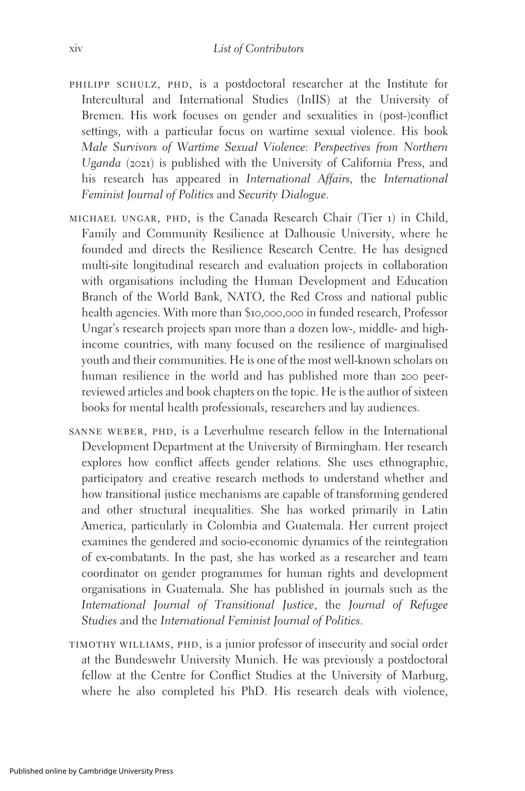- philipp schulz, phd, is a postdoctoral researcher at the Institute for Intercultural and International Studies (InIIS) at the University of Bremen. His work focuses on gender and sexualities in (post-)conflict settings, with a particular focus on wartime sexual violence. His book Male Survivors of Wartime Sexual Violence: Perspectives from Northern Uganda (2021) is published with the University of California Press, and his research has appeared in International Affairs, the International Feminist Journal of Politics and Security Dialogue.
- michael ungar, phd, is the Canada Research Chair (Tier 1) in Child, Family and Community Resilience at Dalhousie University, where he founded and directs the Resilience Research Centre. He has designed multi-site longitudinal research and evaluation projects in collaboration with organisations including the Human Development and Education Branch of the World Bank, NATO, the Red Cross and national public health agencies. With more than \$10,000,000 in funded research, Professor Ungar's research projects span more than a dozen low-, middle- and highincome countries, with many focused on the resilience of marginalised youth and their communities. He is one of the most well-known scholars on human resilience in the world and has published more than 200 peerreviewed articles and book chapters on the topic. He is the author of sixteen books for mental health professionals, researchers and lay audiences.
- sanne weber, phd, is a Leverhulme research fellow in the International Development Department at the University of Birmingham. Her research explores how conflict affects gender relations. She uses ethnographic, participatory and creative research methods to understand whether and how transitional justice mechanisms are capable of transforming gendered and other structural inequalities. She has worked primarily in Latin America, particularly in Colombia and Guatemala. Her current project examines the gendered and socio-economic dynamics of the reintegration of ex-combatants. In the past, she has worked as a researcher and team coordinator on gender programmes for human rights and development organisations in Guatemala. She has published in journals such as the International Journal of Transitional Justice, the Journal of Refugee Studies and the International Feminist Journal of Politics.
- timothy williams, phd, is a junior professor of insecurity and social order at the Bundeswehr University Munich. He was previously a postdoctoral fellow at the Centre for Conflict Studies at the University of Marburg, where he also completed his PhD. His research deals with violence,